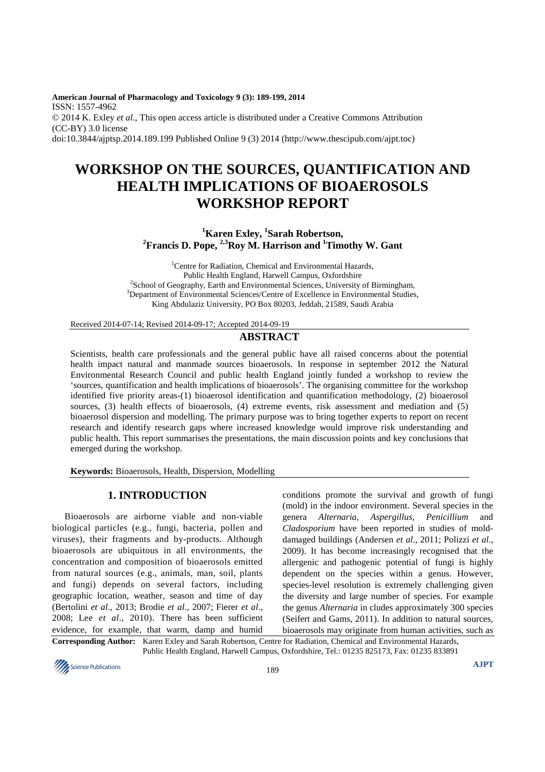**American Journal of Pharmacology and Toxicology 9 (3): 189-199, 2014**  ISSN: 1557-4962 © 2014 K. Exley *et al*., This open access article is distributed under a Creative Commons Attribution (CC-BY) 3.0 license doi:10.3844/ajptsp.2014.189.199 Published Online 9 (3) 2014 (http://www.thescipub.com/ajpt.toc)

# **WORKSHOP ON THE SOURCES, QUANTIFICATION AND HEALTH IMPLICATIONS OF BIOAEROSOLS WORKSHOP REPORT**

# **<sup>1</sup>Karen Exley, <sup>1</sup> Sarah Robertson, <sup>2</sup>Francis D. Pope, 2,3Roy M. Harrison and <sup>1</sup>Timothy W. Gant**

<sup>1</sup>Centre for Radiation, Chemical and Environmental Hazards, Public Health England, Harwell Campus, Oxfordshire <sup>2</sup> School of Geography, Earth and Environmental Sciences, University of Birmingham, <sup>3</sup>Department of Environmental Sciences/Centre of Excellence in Environmental Studies, King Abdulaziz University, PO Box 80203, Jeddah, 21589, Saudi Arabia

Received 2014-07-14; Revised 2014-09-17; Accepted 2014-09-19

## **ABSTRACT**

Scientists, health care professionals and the general public have all raised concerns about the potential health impact natural and manmade sources bioaerosols. In response in september 2012 the Natural Environmental Research Council and public health England jointly funded a workshop to review the 'sources, quantification and health implications of bioaerosols'. The organising committee for the workshop identified five priority areas-(1) bioaerosol identification and quantification methodology, (2) bioaerosol sources, (3) health effects of bioaerosols, (4) extreme events, risk assessment and mediation and (5) bioaerosol dispersion and modelling. The primary purpose was to bring together experts to report on recent research and identify research gaps where increased knowledge would improve risk understanding and public health. This report summarises the presentations, the main discussion points and key conclusions that emerged during the workshop.

**Keywords:** Bioaerosols, Health, Dispersion, Modelling

## **1. INTRODUCTION**

Bioaerosols are airborne viable and non-viable biological particles (e.g., fungi, bacteria, pollen and viruses), their fragments and by-products. Although bioaerosols are ubiquitous in all environments, the concentration and composition of bioaerosols emitted from natural sources (e.g., animals, man, soil, plants and fungi) depends on several factors, including geographic location, weather, season and time of day (Bertolini *et al*., 2013; Brodie *et al*., 2007; Fierer *et al*., 2008; Lee *et al*., 2010). There has been sufficient evidence, for example, that warm, damp and humid

conditions promote the survival and growth of fungi (mold) in the indoor environment. Several species in the genera *Alternaria*, *Aspergillus*, *Penicillium* and *Cladosporium* have been reported in studies of molddamaged buildings (Andersen *et al*., 2011; Polizzi *et al*., 2009). It has become increasingly recognised that the allergenic and pathogenic potential of fungi is highly dependent on the species within a genus. However, species-level resolution is extremely challenging given the diversity and large number of species. For example the genus *Alternaria* in cludes approximately 300 species (Seifert and Gams, 2011). In addition to natural sources, bioaerosols may originate from human activities, such as

**Corresponding Author:** Karen Exley and Sarah Robertson, Centre for Radiation, Chemical and Environmental Hazards, Public Health England, Harwell Campus, Oxfordshire, Tel.: 01235 825173, Fax: 01235 833891

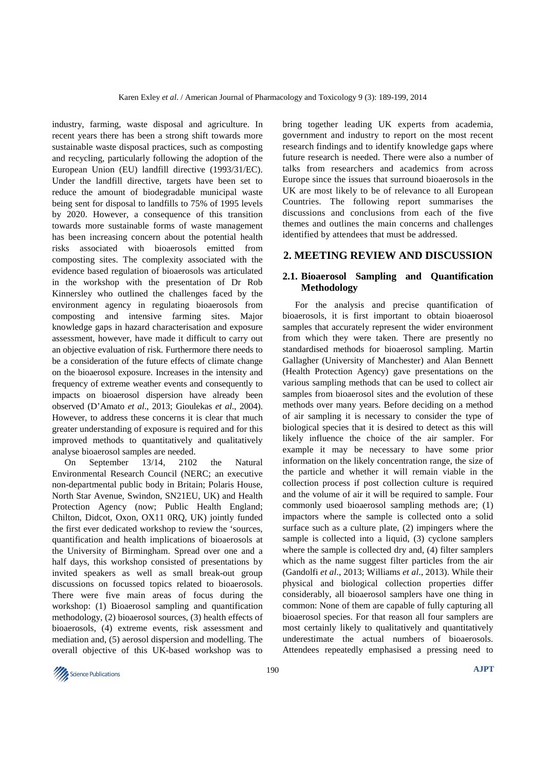industry, farming, waste disposal and agriculture. In recent years there has been a strong shift towards more sustainable waste disposal practices, such as composting and recycling, particularly following the adoption of the European Union (EU) landfill directive (1993/31/EC). Under the landfill directive, targets have been set to reduce the amount of biodegradable municipal waste being sent for disposal to landfills to 75% of 1995 levels by 2020. However, a consequence of this transition towards more sustainable forms of waste management has been increasing concern about the potential health risks associated with bioaerosols emitted from composting sites. The complexity associated with the evidence based regulation of bioaerosols was articulated in the workshop with the presentation of Dr Rob Kinnersley who outlined the challenges faced by the environment agency in regulating bioaerosols from composting and intensive farming sites. Major knowledge gaps in hazard characterisation and exposure assessment, however, have made it difficult to carry out an objective evaluation of risk. Furthermore there needs to be a consideration of the future effects of climate change on the bioaerosol exposure. Increases in the intensity and frequency of extreme weather events and consequently to impacts on bioaerosol dispersion have already been observed (D'Amato *et al*., 2013; Gioulekas *et al*., 2004). However, to address these concerns it is clear that much greater understanding of exposure is required and for this improved methods to quantitatively and qualitatively analyse bioaerosol samples are needed.

On September 13/14, 2102 the Natural Environmental Research Council (NERC; an executive non-departmental public body in Britain; Polaris House, North Star Avenue, Swindon, SN21EU, UK) and Health Protection Agency (now; Public Health England; Chilton, Didcot, Oxon, OX11 0RQ, UK) jointly funded the first ever dedicated workshop to review the 'sources, quantification and health implications of bioaerosols at the University of Birmingham. Spread over one and a half days, this workshop consisted of presentations by invited speakers as well as small break-out group discussions on focussed topics related to bioaerosols. There were five main areas of focus during the workshop: (1) Bioaerosol sampling and quantification methodology, (2) bioaerosol sources, (3) health effects of bioaerosols, (4) extreme events, risk assessment and mediation and, (5) aerosol dispersion and modelling. The overall objective of this UK-based workshop was to

bring together leading UK experts from academia, government and industry to report on the most recent research findings and to identify knowledge gaps where future research is needed. There were also a number of talks from researchers and academics from across Europe since the issues that surround bioaerosols in the UK are most likely to be of relevance to all European Countries. The following report summarises the discussions and conclusions from each of the five themes and outlines the main concerns and challenges identified by attendees that must be addressed.

## **2. MEETING REVIEW AND DISCUSSION**

## **2.1. Bioaerosol Sampling and Quantification Methodology**

For the analysis and precise quantification of bioaerosols, it is first important to obtain bioaerosol samples that accurately represent the wider environment from which they were taken. There are presently no standardised methods for bioaerosol sampling. Martin Gallagher (University of Manchester) and Alan Bennett (Health Protection Agency) gave presentations on the various sampling methods that can be used to collect air samples from bioaerosol sites and the evolution of these methods over many years. Before deciding on a method of air sampling it is necessary to consider the type of biological species that it is desired to detect as this will likely influence the choice of the air sampler. For example it may be necessary to have some prior information on the likely concentration range, the size of the particle and whether it will remain viable in the collection process if post collection culture is required and the volume of air it will be required to sample. Four commonly used bioaerosol sampling methods are; (1) impactors where the sample is collected onto a solid surface such as a culture plate, (2) impingers where the sample is collected into a liquid, (3) cyclone samplers where the sample is collected dry and, (4) filter samplers which as the name suggest filter particles from the air (Gandolfi *et al*., 2013; Williams *et al*., 2013). While their physical and biological collection properties differ considerably, all bioaerosol samplers have one thing in common: None of them are capable of fully capturing all bioaerosol species. For that reason all four samplers are most certainly likely to qualitatively and quantitatively underestimate the actual numbers of bioaerosols. Attendees repeatedly emphasised a pressing need to

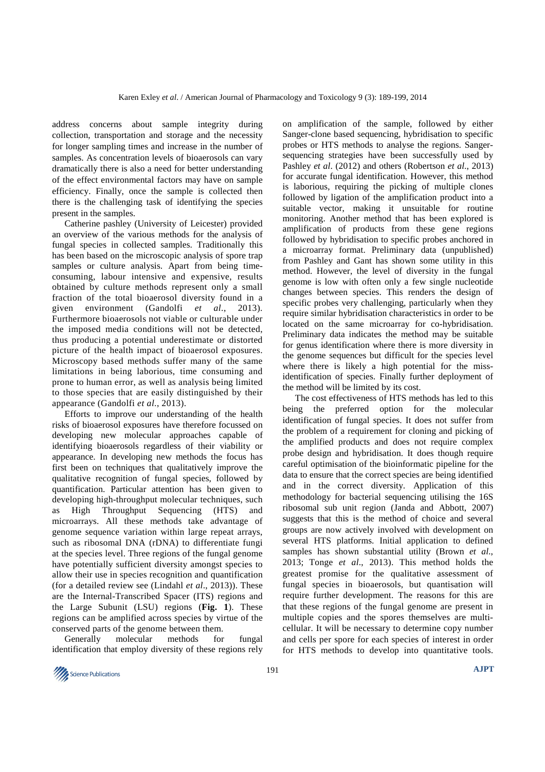address concerns about sample integrity during collection, transportation and storage and the necessity for longer sampling times and increase in the number of samples. As concentration levels of bioaerosols can vary dramatically there is also a need for better understanding of the effect environmental factors may have on sample efficiency. Finally, once the sample is collected then there is the challenging task of identifying the species present in the samples.

Catherine pashley (University of Leicester) provided an overview of the various methods for the analysis of fungal species in collected samples. Traditionally this has been based on the microscopic analysis of spore trap samples or culture analysis. Apart from being timeconsuming, labour intensive and expensive, results obtained by culture methods represent only a small fraction of the total bioaerosol diversity found in a given environment (Gandolfi *et al*., 2013). Furthermore bioaerosols not viable or culturable under the imposed media conditions will not be detected, thus producing a potential underestimate or distorted picture of the health impact of bioaerosol exposures. Microscopy based methods suffer many of the same limitations in being laborious, time consuming and prone to human error, as well as analysis being limited to those species that are easily distinguished by their appearance (Gandolfi *et al*., 2013).

Efforts to improve our understanding of the health risks of bioaerosol exposures have therefore focussed on developing new molecular approaches capable of identifying bioaerosols regardless of their viability or appearance. In developing new methods the focus has first been on techniques that qualitatively improve the qualitative recognition of fungal species, followed by quantification. Particular attention has been given to developing high-throughput molecular techniques, such as High Throughput Sequencing (HTS) and microarrays. All these methods take advantage of genome sequence variation within large repeat arrays, such as ribosomal DNA (rDNA) to differentiate fungi at the species level. Three regions of the fungal genome have potentially sufficient diversity amongst species to allow their use in species recognition and quantification (for a detailed review see (Lindahl *et al*., 2013)). These are the Internal-Transcribed Spacer (ITS) regions and the Large Subunit (LSU) regions (**Fig. 1**). These regions can be amplified across species by virtue of the conserved parts of the genome between them.

Generally molecular methods for fungal identification that employ diversity of these regions rely

on amplification of the sample, followed by either Sanger-clone based sequencing, hybridisation to specific probes or HTS methods to analyse the regions. Sangersequencing strategies have been successfully used by Pashley *et al*. (2012) and others (Robertson *et al*., 2013) for accurate fungal identification. However, this method is laborious, requiring the picking of multiple clones followed by ligation of the amplification product into a suitable vector, making it unsuitable for routine monitoring. Another method that has been explored is amplification of products from these gene regions followed by hybridisation to specific probes anchored in a microarray format. Preliminary data (unpublished) from Pashley and Gant has shown some utility in this method. However, the level of diversity in the fungal genome is low with often only a few single nucleotide changes between species. This renders the design of specific probes very challenging, particularly when they require similar hybridisation characteristics in order to be located on the same microarray for co-hybridisation. Preliminary data indicates the method may be suitable for genus identification where there is more diversity in the genome sequences but difficult for the species level where there is likely a high potential for the missidentification of species. Finally further deployment of the method will be limited by its cost.

The cost effectiveness of HTS methods has led to this being the preferred option for the molecular identification of fungal species. It does not suffer from the problem of a requirement for cloning and picking of the amplified products and does not require complex probe design and hybridisation. It does though require careful optimisation of the bioinformatic pipeline for the data to ensure that the correct species are being identified and in the correct diversity. Application of this methodology for bacterial sequencing utilising the 16S ribosomal sub unit region (Janda and Abbott, 2007) suggests that this is the method of choice and several groups are now actively involved with development on several HTS platforms. Initial application to defined samples has shown substantial utility (Brown *et al*., 2013; Tonge *et al*., 2013). This method holds the greatest promise for the qualitative assessment of fungal species in bioaerosols, but quantisation will require further development. The reasons for this are that these regions of the fungal genome are present in multiple copies and the spores themselves are multicellular. It will be necessary to determine copy number and cells per spore for each species of interest in order for HTS methods to develop into quantitative tools.

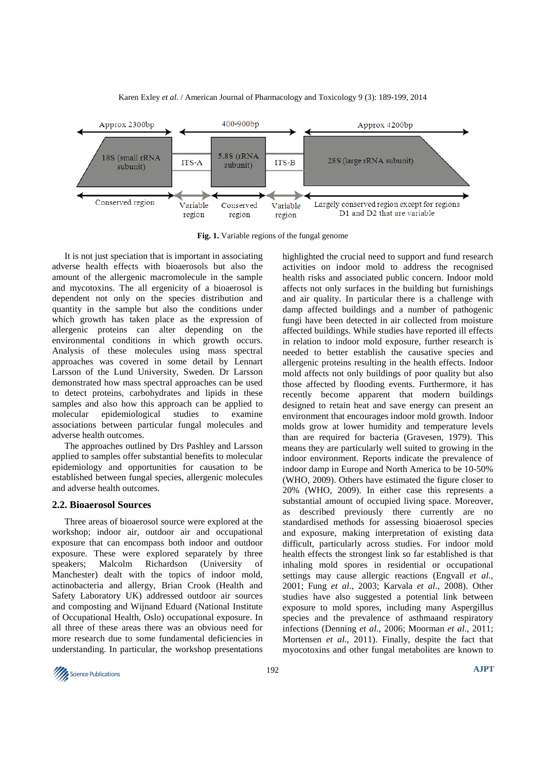

Karen Exley *et al*. / American Journal of Pharmacology and Toxicology 9 (3): 189-199, 2014

**Fig. 1.** Variable regions of the fungal genome

It is not just speciation that is important in associating adverse health effects with bioaerosols but also the amount of the allergenic macromolecule in the sample and mycotoxins. The all ergenicity of a bioaerosol is dependent not only on the species distribution and quantity in the sample but also the conditions under which growth has taken place as the expression of allergenic proteins can alter depending on the environmental conditions in which growth occurs. Analysis of these molecules using mass spectral approaches was covered in some detail by Lennart Larsson of the Lund University, Sweden. Dr Larsson demonstrated how mass spectral approaches can be used to detect proteins, carbohydrates and lipids in these samples and also how this approach can be applied to molecular epidemiological studies to examine associations between particular fungal molecules and adverse health outcomes.

The approaches outlined by Drs Pashley and Larsson applied to samples offer substantial benefits to molecular epidemiology and opportunities for causation to be established between fungal species, allergenic molecules and adverse health outcomes.

#### **2.2. Bioaerosol Sources**

Three areas of bioaerosol source were explored at the workshop; indoor air, outdoor air and occupational exposure that can encompass both indoor and outdoor exposure. These were explored separately by three speakers; Malcolm Richardson (University of Manchester) dealt with the topics of indoor mold, actinobacteria and allergy, Brian Crook (Health and Safety Laboratory UK) addressed outdoor air sources and composting and Wijnand Eduard (National Institute of Occupational Health, Oslo) occupational exposure. In all three of these areas there was an obvious need for more research due to some fundamental deficiencies in understanding. In particular, the workshop presentations

highlighted the crucial need to support and fund research activities on indoor mold to address the recognised health risks and associated public concern. Indoor mold affects not only surfaces in the building but furnishings and air quality. In particular there is a challenge with damp affected buildings and a number of pathogenic fungi have been detected in air collected from moisture affected buildings. While studies have reported ill effects in relation to indoor mold exposure, further research is needed to better establish the causative species and allergenic proteins resulting in the health effects. Indoor mold affects not only buildings of poor quality but also those affected by flooding events. Furthermore, it has recently become apparent that modern buildings designed to retain heat and save energy can present an environment that encourages indoor mold growth. Indoor molds grow at lower humidity and temperature levels than are required for bacteria (Gravesen, 1979). This means they are particularly well suited to growing in the indoor environment. Reports indicate the prevalence of indoor damp in Europe and North America to be 10-50% (WHO, 2009). Others have estimated the figure closer to 20% (WHO, 2009). In either case this represents a substantial amount of occupied living space. Moreover, as described previously there currently are no standardised methods for assessing bioaerosol species and exposure, making interpretation of existing data difficult, particularly across studies. For indoor mold health effects the strongest link so far established is that inhaling mold spores in residential or occupational settings may cause allergic reactions (Engvall *et al*., 2001; Fung *et al*., 2003; Karvala *et al*., 2008). Other studies have also suggested a potential link between exposure to mold spores, including many Aspergillus species and the prevalence of asthmaand respiratory infections (Denning *et al*., 2006; Moorman *et al*., 2011; Mortensen *et al*., 2011). Finally, despite the fact that myocotoxins and other fungal metabolites are known to

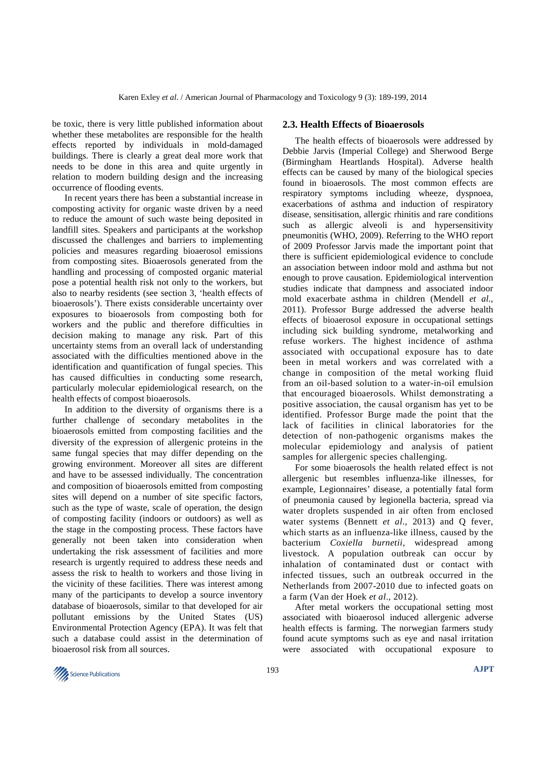be toxic, there is very little published information about whether these metabolites are responsible for the health effects reported by individuals in mold-damaged buildings. There is clearly a great deal more work that needs to be done in this area and quite urgently in relation to modern building design and the increasing occurrence of flooding events.

In recent years there has been a substantial increase in composting activity for organic waste driven by a need to reduce the amount of such waste being deposited in landfill sites. Speakers and participants at the workshop discussed the challenges and barriers to implementing policies and measures regarding bioaerosol emissions from composting sites. Bioaerosols generated from the handling and processing of composted organic material pose a potential health risk not only to the workers, but also to nearby residents (see section 3, 'health effects of bioaerosols'). There exists considerable uncertainty over exposures to bioaerosols from composting both for workers and the public and therefore difficulties in decision making to manage any risk. Part of this uncertainty stems from an overall lack of understanding associated with the difficulties mentioned above in the identification and quantification of fungal species. This has caused difficulties in conducting some research, particularly molecular epidemiological research, on the health effects of compost bioaerosols.

In addition to the diversity of organisms there is a further challenge of secondary metabolites in the bioaerosols emitted from composting facilities and the diversity of the expression of allergenic proteins in the same fungal species that may differ depending on the growing environment. Moreover all sites are different and have to be assessed individually. The concentration and composition of bioaerosols emitted from composting sites will depend on a number of site specific factors, such as the type of waste, scale of operation, the design of composting facility (indoors or outdoors) as well as the stage in the composting process. These factors have generally not been taken into consideration when undertaking the risk assessment of facilities and more research is urgently required to address these needs and assess the risk to health to workers and those living in the vicinity of these facilities. There was interest among many of the participants to develop a source inventory database of bioaerosols, similar to that developed for air pollutant emissions by the United States (US) Environmental Protection Agency (EPA). It was felt that such a database could assist in the determination of bioaerosol risk from all sources.

### **2.3. Health Effects of Bioaerosols**

The health effects of bioaerosols were addressed by Debbie Jarvis (Imperial College) and Sherwood Berge (Birmingham Heartlands Hospital). Adverse health effects can be caused by many of the biological species found in bioaerosols. The most common effects are respiratory symptoms including wheeze, dyspnoea, exacerbations of asthma and induction of respiratory disease, sensitisation, allergic rhinitis and rare conditions such as allergic alveoli is and hypersensitivity pneumonitis (WHO, 2009). Referring to the WHO report of 2009 Professor Jarvis made the important point that there is sufficient epidemiological evidence to conclude an association between indoor mold and asthma but not enough to prove causation. Epidemiological intervention studies indicate that dampness and associated indoor mold exacerbate asthma in children (Mendell *et al*., 2011). Professor Burge addressed the adverse health effects of bioaerosol exposure in occupational settings including sick building syndrome, metalworking and refuse workers. The highest incidence of asthma associated with occupational exposure has to date been in metal workers and was correlated with a change in composition of the metal working fluid from an oil-based solution to a water-in-oil emulsion that encouraged bioaerosols. Whilst demonstrating a positive association, the causal organism has yet to be identified. Professor Burge made the point that the lack of facilities in clinical laboratories for the detection of non-pathogenic organisms makes the molecular epidemiology and analysis of patient samples for allergenic species challenging.

For some bioaerosols the health related effect is not allergenic but resembles influenza-like illnesses, for example, Legionnaires' disease, a potentially fatal form of pneumonia caused by legionella bacteria, spread via water droplets suspended in air often from enclosed water systems (Bennett *et al*., 2013) and Q fever, which starts as an influenza-like illness, caused by the bacterium *Coxiella burnetii*, widespread among livestock. A population outbreak can occur by inhalation of contaminated dust or contact with infected tissues, such an outbreak occurred in the Netherlands from 2007-2010 due to infected goats on a farm (Van der Hoek *et al*., 2012).

After metal workers the occupational setting most associated with bioaerosol induced allergenic adverse health effects is farming. The norwegian farmers study found acute symptoms such as eye and nasal irritation were associated with occupational exposure to

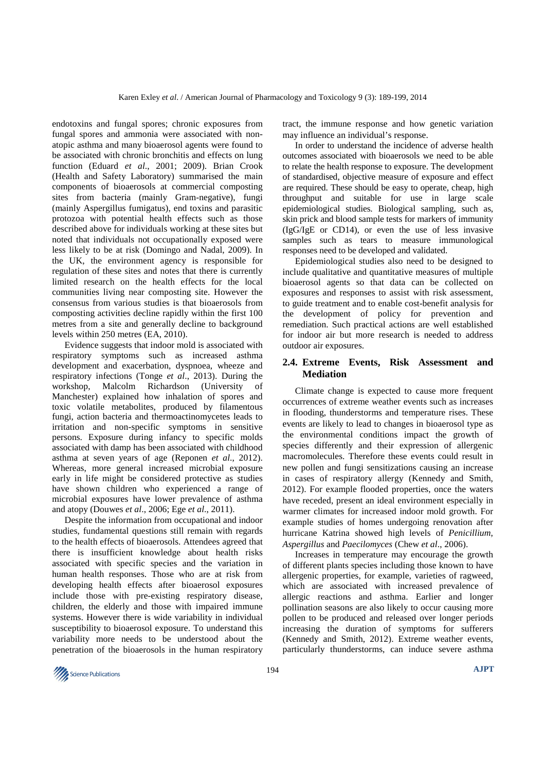endotoxins and fungal spores; chronic exposures from fungal spores and ammonia were associated with nonatopic asthma and many bioaerosol agents were found to be associated with chronic bronchitis and effects on lung function (Eduard *et al*., 2001; 2009). Brian Crook (Health and Safety Laboratory) summarised the main components of bioaerosols at commercial composting sites from bacteria (mainly Gram-negative), fungi (mainly Aspergillus fumigatus), end toxins and parasitic protozoa with potential health effects such as those described above for individuals working at these sites but noted that individuals not occupationally exposed were less likely to be at risk (Domingo and Nadal, 2009). In the UK, the environment agency is responsible for regulation of these sites and notes that there is currently limited research on the health effects for the local communities living near composting site. However the consensus from various studies is that bioaerosols from composting activities decline rapidly within the first 100 metres from a site and generally decline to background levels within 250 metres (EA, 2010).

Evidence suggests that indoor mold is associated with respiratory symptoms such as increased asthma development and exacerbation, dyspnoea, wheeze and respiratory infections (Tonge *et al*., 2013). During the workshop, Malcolm Richardson (University of Manchester) explained how inhalation of spores and toxic volatile metabolites, produced by filamentous fungi, action bacteria and thermoactinomycetes leads to irritation and non-specific symptoms in sensitive persons. Exposure during infancy to specific molds associated with damp has been associated with childhood asthma at seven years of age (Reponen *et al*., 2012). Whereas, more general increased microbial exposure early in life might be considered protective as studies have shown children who experienced a range of microbial exposures have lower prevalence of asthma and atopy (Douwes *et al*., 2006; Ege *et al*., 2011).

Despite the information from occupational and indoor studies, fundamental questions still remain with regards to the health effects of bioaerosols. Attendees agreed that there is insufficient knowledge about health risks associated with specific species and the variation in human health responses. Those who are at risk from developing health effects after bioaerosol exposures include those with pre-existing respiratory disease, children, the elderly and those with impaired immune systems. However there is wide variability in individual susceptibility to bioaerosol exposure. To understand this variability more needs to be understood about the penetration of the bioaerosols in the human respiratory

tract, the immune response and how genetic variation may influence an individual's response.

In order to understand the incidence of adverse health outcomes associated with bioaerosols we need to be able to relate the health response to exposure. The development of standardised, objective measure of exposure and effect are required. These should be easy to operate, cheap, high throughput and suitable for use in large scale epidemiological studies. Biological sampling, such as, skin prick and blood sample tests for markers of immunity (IgG/IgE or CD14), or even the use of less invasive samples such as tears to measure immunological responses need to be developed and validated.

Epidemiological studies also need to be designed to include qualitative and quantitative measures of multiple bioaerosol agents so that data can be collected on exposures and responses to assist with risk assessment, to guide treatment and to enable cost-benefit analysis for the development of policy for prevention and remediation. Such practical actions are well established for indoor air but more research is needed to address outdoor air exposures.

## **2.4. Extreme Events, Risk Assessment and Mediation**

Climate change is expected to cause more frequent occurrences of extreme weather events such as increases in flooding, thunderstorms and temperature rises. These events are likely to lead to changes in bioaerosol type as the environmental conditions impact the growth of species differently and their expression of allergenic macromolecules. Therefore these events could result in new pollen and fungi sensitizations causing an increase in cases of respiratory allergy (Kennedy and Smith, 2012). For example flooded properties, once the waters have receded, present an ideal environment especially in warmer climates for increased indoor mold growth. For example studies of homes undergoing renovation after hurricane Katrina showed high levels of *Penicillium*, *Aspergillus* and *Paecilomyces* (Chew *et al*., 2006).

Increases in temperature may encourage the growth of different plants species including those known to have allergenic properties, for example, varieties of ragweed, which are associated with increased prevalence of allergic reactions and asthma. Earlier and longer pollination seasons are also likely to occur causing more pollen to be produced and released over longer periods increasing the duration of symptoms for sufferers (Kennedy and Smith, 2012). Extreme weather events, particularly thunderstorms, can induce severe asthma

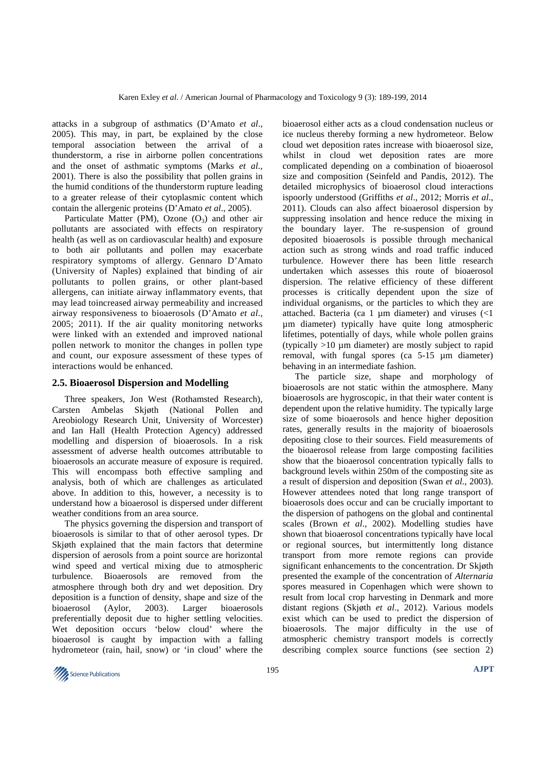attacks in a subgroup of asthmatics (D'Amato *et al*., 2005). This may, in part, be explained by the close temporal association between the arrival of a thunderstorm, a rise in airborne pollen concentrations and the onset of asthmatic symptoms (Marks *et al*., 2001). There is also the possibility that pollen grains in the humid conditions of the thunderstorm rupture leading to a greater release of their cytoplasmic content which contain the allergenic proteins (D'Amato *et al*., 2005).

Particulate Matter (PM), Ozone  $(O_3)$  and other air pollutants are associated with effects on respiratory health (as well as on cardiovascular health) and exposure to both air pollutants and pollen may exacerbate respiratory symptoms of allergy. Gennaro D'Amato (University of Naples) explained that binding of air pollutants to pollen grains, or other plant-based allergens, can initiate airway inflammatory events, that may lead toincreased airway permeability and increased airway responsiveness to bioaerosols (D'Amato *et al*., 2005; 2011). If the air quality monitoring networks were linked with an extended and improved national pollen network to monitor the changes in pollen type and count, our exposure assessment of these types of interactions would be enhanced.

#### **2.5. Bioaerosol Dispersion and Modelling**

Three speakers, Jon West (Rothamsted Research), Carsten Ambelas Skjøth (National Pollen and Areobiology Research Unit, University of Worcester) and Ian Hall (Health Protection Agency) addressed modelling and dispersion of bioaerosols. In a risk assessment of adverse health outcomes attributable to bioaerosols an accurate measure of exposure is required. This will encompass both effective sampling and analysis, both of which are challenges as articulated above. In addition to this, however, a necessity is to understand how a bioaerosol is dispersed under different weather conditions from an area source.

The physics governing the dispersion and transport of bioaerosols is similar to that of other aerosol types. Dr Skjøth explained that the main factors that determine dispersion of aerosols from a point source are horizontal wind speed and vertical mixing due to atmospheric turbulence. Bioaerosols are removed from the atmosphere through both dry and wet deposition. Dry deposition is a function of density, shape and size of the bioaerosol (Aylor, 2003). Larger bioaerosols preferentially deposit due to higher settling velocities. Wet deposition occurs 'below cloud' where the bioaerosol is caught by impaction with a falling hydrometeor (rain, hail, snow) or 'in cloud' where the

bioaerosol either acts as a cloud condensation nucleus or ice nucleus thereby forming a new hydrometeor. Below cloud wet deposition rates increase with bioaerosol size, whilst in cloud wet deposition rates are more complicated depending on a combination of bioaerosol size and composition (Seinfeld and Pandis, 2012). The detailed microphysics of bioaerosol cloud interactions ispoorly understood (Griffiths *et al*., 2012; Morris *et al*., 2011). Clouds can also affect bioaerosol dispersion by suppressing insolation and hence reduce the mixing in the boundary layer. The re-suspension of ground deposited bioaerosols is possible through mechanical action such as strong winds and road traffic induced turbulence. However there has been little research undertaken which assesses this route of bioaerosol dispersion. The relative efficiency of these different processes is critically dependent upon the size of individual organisms, or the particles to which they are attached. Bacteria (ca 1  $\mu$ m diameter) and viruses (<1 µm diameter) typically have quite long atmospheric lifetimes, potentially of days, while whole pollen grains (typically  $>10 \mu$ m diameter) are mostly subject to rapid removal, with fungal spores (ca 5-15 µm diameter) behaving in an intermediate fashion.

The particle size, shape and morphology of bioaerosols are not static within the atmosphere. Many bioaerosols are hygroscopic, in that their water content is dependent upon the relative humidity. The typically large size of some bioaerosols and hence higher deposition rates, generally results in the majority of bioaerosols depositing close to their sources. Field measurements of the bioaerosol release from large composting facilities show that the bioaerosol concentration typically falls to background levels within 250m of the composting site as a result of dispersion and deposition (Swan *et al*., 2003). However attendees noted that long range transport of bioaerosols does occur and can be crucially important to the dispersion of pathogens on the global and continental scales (Brown *et al*., 2002). Modelling studies have shown that bioaerosol concentrations typically have local or regional sources, but intermittently long distance transport from more remote regions can provide significant enhancements to the concentration. Dr Skjøth presented the example of the concentration of *Alternaria* spores measured in Copenhagen which were shown to result from local crop harvesting in Denmark and more distant regions (Skjøth *et al*., 2012). Various models exist which can be used to predict the dispersion of bioaerosols. The major difficulty in the use of atmospheric chemistry transport models is correctly describing complex source functions (see section 2)

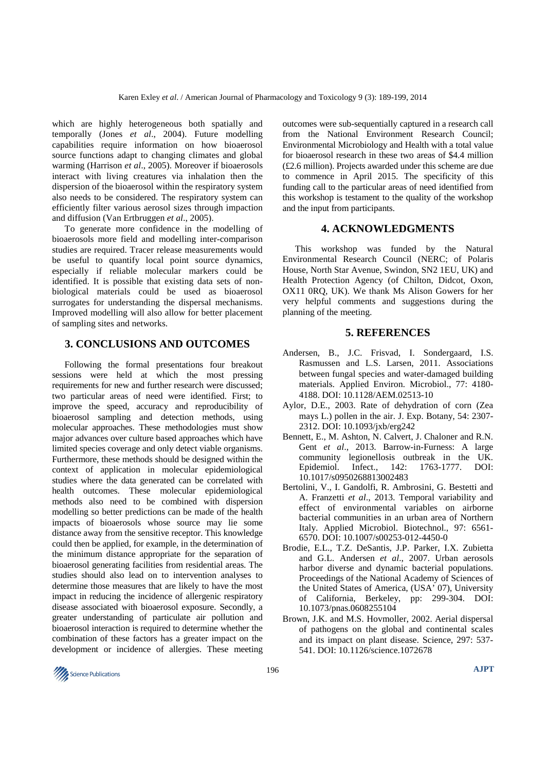which are highly heterogeneous both spatially and temporally (Jones *et al*., 2004). Future modelling capabilities require information on how bioaerosol source functions adapt to changing climates and global warming (Harrison *et al*., 2005). Moreover if bioaerosols interact with living creatures via inhalation then the dispersion of the bioaerosol within the respiratory system also needs to be considered. The respiratory system can efficiently filter various aerosol sizes through impaction and diffusion (Van Ertbruggen *et al*., 2005).

To generate more confidence in the modelling of bioaerosols more field and modelling inter-comparison studies are required. Tracer release measurements would be useful to quantify local point source dynamics, especially if reliable molecular markers could be identified. It is possible that existing data sets of nonbiological materials could be used as bioaerosol surrogates for understanding the dispersal mechanisms. Improved modelling will also allow for better placement of sampling sites and networks.

## **3. CONCLUSIONS AND OUTCOMES**

Following the formal presentations four breakout sessions were held at which the most pressing requirements for new and further research were discussed; two particular areas of need were identified. First; to improve the speed, accuracy and reproducibility of bioaerosol sampling and detection methods, using molecular approaches. These methodologies must show major advances over culture based approaches which have limited species coverage and only detect viable organisms. Furthermore, these methods should be designed within the context of application in molecular epidemiological studies where the data generated can be correlated with health outcomes. These molecular epidemiological methods also need to be combined with dispersion modelling so better predictions can be made of the health impacts of bioaerosols whose source may lie some distance away from the sensitive receptor. This knowledge could then be applied, for example, in the determination of the minimum distance appropriate for the separation of bioaerosol generating facilities from residential areas. The studies should also lead on to intervention analyses to determine those measures that are likely to have the most impact in reducing the incidence of allergenic respiratory disease associated with bioaerosol exposure. Secondly, a greater understanding of particulate air pollution and bioaerosol interaction is required to determine whether the combination of these factors has a greater impact on the development or incidence of allergies. These meeting

outcomes were sub-sequentially captured in a research call from the National Environment Research Council; Environmental Microbiology and Health with a total value for bioaerosol research in these two areas of \$4.4 million (£2.6 million). Projects awarded under this scheme are due to commence in April 2015. The specificity of this funding call to the particular areas of need identified from this workshop is testament to the quality of the workshop and the input from participants.

#### **4. ACKNOWLEDGMENTS**

This workshop was funded by the Natural Environmental Research Council (NERC; of Polaris House, North Star Avenue, Swindon, SN2 1EU, UK) and Health Protection Agency (of Chilton, Didcot, Oxon, OX11 0RQ, UK). We thank Ms Alison Gowers for her very helpful comments and suggestions during the planning of the meeting.

### **5. REFERENCES**

- Andersen, B., J.C. Frisvad, I. Sondergaard, I.S. Rasmussen and L.S. Larsen, 2011. Associations between fungal species and water-damaged building materials. Applied Environ. Microbiol., 77: 4180- 4188. DOI: 10.1128/AEM.02513-10
- Aylor, D.E., 2003. Rate of dehydration of corn (Zea mays L.) pollen in the air. J. Exp. Botany, 54: 2307- 2312. DOI: 10.1093/jxb/erg242
- Bennett, E., M. Ashton, N. Calvert, J. Chaloner and R.N. Gent *et al*., 2013. Barrow-in-Furness: A large community legionellosis outbreak in the UK. Epidemiol. Infect., 142: 1763-1777. DOI: 10.1017/s0950268813002483
- Bertolini, V., I. Gandolfi, R. Ambrosini, G. Bestetti and A. Franzetti *et al*., 2013. Temporal variability and effect of environmental variables on airborne bacterial communities in an urban area of Northern Italy. Applied Microbiol. Biotechnol., 97: 6561- 6570. DOI: 10.1007/s00253-012-4450-0
- Brodie, E.L., T.Z. DeSantis, J.P. Parker, I.X. Zubietta and G.L. Andersen *et al*., 2007. Urban aerosols harbor diverse and dynamic bacterial populations. Proceedings of the National Academy of Sciences of the United States of America, (USA' 07), University of California, Berkeley, pp: 299-304. DOI: 10.1073/pnas.0608255104
- Brown, J.K. and M.S. Hovmoller, 2002. Aerial dispersal of pathogens on the global and continental scales and its impact on plant disease. Science, 297: 537- 541. DOI: 10.1126/science.1072678

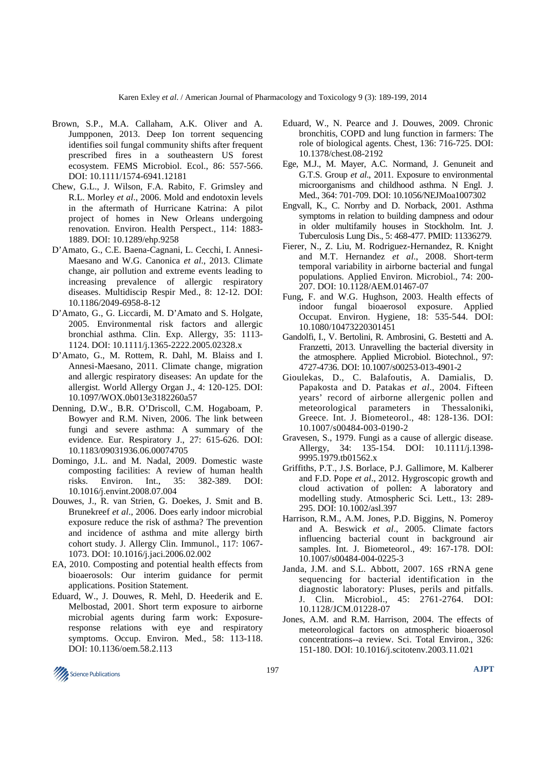- Brown, S.P., M.A. Callaham, A.K. Oliver and A. Jumpponen, 2013. Deep Ion torrent sequencing identifies soil fungal community shifts after frequent prescribed fires in a southeastern US forest ecosystem. FEMS Microbiol. Ecol., 86: 557-566. DOI: 10.1111/1574-6941.12181
- Chew, G.L., J. Wilson, F.A. Rabito, F. Grimsley and R.L. Morley *et al*., 2006. Mold and endotoxin levels in the aftermath of Hurricane Katrina: A pilot project of homes in New Orleans undergoing renovation. Environ. Health Perspect., 114: 1883- 1889. DOI: 10.1289/ehp.9258
- D'Amato, G., C.E. Baena-Cagnani, L. Cecchi, I. Annesi-Maesano and W.G. Canonica *et al*., 2013. Climate change, air pollution and extreme events leading to increasing prevalence of allergic respiratory diseases. Multidiscip Respir Med., 8: 12-12. DOI: 10.1186/2049-6958-8-12
- D'Amato, G., G. Liccardi, M. D'Amato and S. Holgate, 2005. Environmental risk factors and allergic bronchial asthma. Clin. Exp. Allergy, 35: 1113- 1124. DOI: 10.1111/j.1365-2222.2005.02328.x
- D'Amato, G., M. Rottem, R. Dahl, M. Blaiss and I. Annesi-Maesano, 2011. Climate change, migration and allergic respiratory diseases: An update for the allergist. World Allergy Organ J., 4: 120-125. DOI: 10.1097/WOX.0b013e3182260a57
- Denning, D.W., B.R. O'Driscoll, C.M. Hogaboam, P. Bowyer and R.M. Niven, 2006. The link between fungi and severe asthma: A summary of the evidence. Eur. Respiratory J., 27: 615-626. DOI: 10.1183/09031936.06.00074705
- Domingo, J.L. and M. Nadal, 2009. Domestic waste composting facilities: A review of human health risks. Environ. Int., 35: 382-389. DOI: 10.1016/j.envint.2008.07.004
- Douwes, J., R. van Strien, G. Doekes, J. Smit and B. Brunekreef *et al*., 2006. Does early indoor microbial exposure reduce the risk of asthma? The prevention and incidence of asthma and mite allergy birth cohort study. J. Allergy Clin. Immunol., 117: 1067- 1073. DOI: 10.1016/j.jaci.2006.02.002
- EA, 2010. Composting and potential health effects from bioaerosols: Our interim guidance for permit applications. Position Statement*.*
- Eduard, W., J. Douwes, R. Mehl, D. Heederik and E. Melbostad, 2001. Short term exposure to airborne microbial agents during farm work: Exposureresponse relations with eye and respiratory symptoms. Occup. Environ. Med., 58: 113-118. DOI: 10.1136/oem.58.2.113
- Eduard, W., N. Pearce and J. Douwes, 2009. Chronic bronchitis, COPD and lung function in farmers: The role of biological agents. Chest, 136: 716-725. DOI: 10.1378/chest.08-2192
- Ege, M.J., M. Mayer, A.C. Normand, J. Genuneit and G.T.S. Group *et al*., 2011. Exposure to environmental microorganisms and childhood asthma. N Engl. J. Med., 364: 701-709. DOI: 10.1056/NEJMoa1007302
- Engvall, K., C. Norrby and D. Norback, 2001. Asthma symptoms in relation to building dampness and odour in older multifamily houses in Stockholm. Int. J. Tuberculosis Lung Dis., 5: 468-477. PMID: 11336279.
- Fierer, N., Z. Liu, M. Rodriguez-Hernandez, R. Knight and M.T. Hernandez *et al*., 2008. Short-term temporal variability in airborne bacterial and fungal populations. Applied Environ. Microbiol., 74: 200- 207. DOI: 10.1128/AEM.01467-07
- Fung, F. and W.G. Hughson, 2003. Health effects of indoor fungal bioaerosol exposure. Applied Occupat. Environ. Hygiene, 18: 535-544. DOI: 10.1080/10473220301451
- Gandolfi, I., V. Bertolini, R. Ambrosini, G. Bestetti and A. Franzetti, 2013. Unravelling the bacterial diversity in the atmosphere. Applied Microbiol. Biotechnol., 97: 4727-4736. DOI: 10.1007/s00253-013-4901-2
- Gioulekas, D., C. Balafoutis, A. Damialis, D. Papakosta and D. Patakas *et al*., 2004. Fifteen years' record of airborne allergenic pollen and meteorological parameters in Thessaloniki, Greece. Int. J. Biometeorol., 48: 128-136. DOI: 10.1007/s00484-003-0190-2
- Gravesen, S., 1979. Fungi as a cause of allergic disease. Allergy, 34: 135-154. DOI: 10.1111/j.1398- 9995.1979.tb01562.x
- Griffiths, P.T., J.S. Borlace, P.J. Gallimore, M. Kalberer and F.D. Pope *et al*., 2012. Hygroscopic growth and cloud activation of pollen: A laboratory and modelling study. Atmospheric Sci. Lett., 13: 289- 295. DOI: 10.1002/asl.397
- Harrison, R.M., A.M. Jones, P.D. Biggins, N. Pomeroy and A. Beswick *et al*., 2005. Climate factors influencing bacterial count in background air samples. Int. J. Biometeorol., 49: 167-178. DOI: 10.1007/s00484-004-0225-3
- Janda, J.M. and S.L. Abbott, 2007. 16S rRNA gene sequencing for bacterial identification in the diagnostic laboratory: Pluses, perils and pitfalls. J. Clin. Microbiol., 45: 2761-2764. DOI: 10.1128/JCM.01228-07
- Jones, A.M. and R.M. Harrison, 2004. The effects of meteorological factors on atmospheric bioaerosol concentrations--a review. Sci. Total Environ., 326: 151-180. DOI: 10.1016/j.scitotenv.2003.11.021

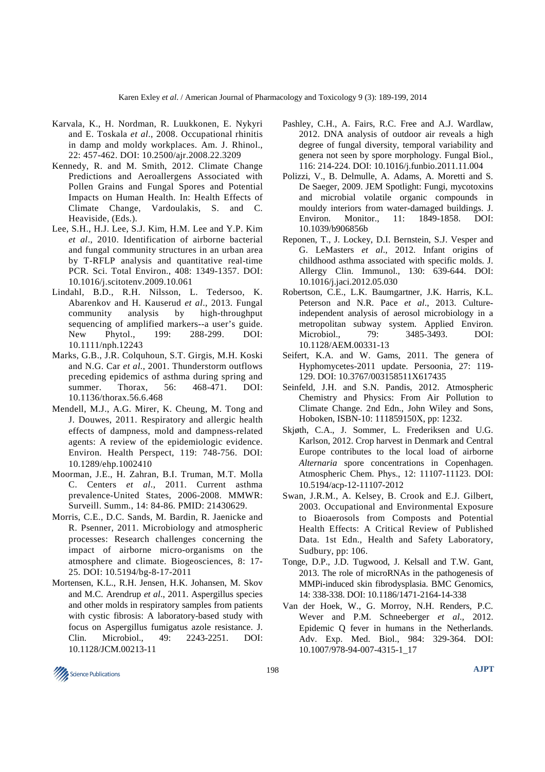- Karvala, K., H. Nordman, R. Luukkonen, E. Nykyri and E. Toskala *et al*., 2008. Occupational rhinitis in damp and moldy workplaces. Am. J. Rhinol., 22: 457-462. DOI: 10.2500/ajr.2008.22.3209
- Kennedy, R. and M. Smith, 2012. Climate Change Predictions and Aeroallergens Associated with Pollen Grains and Fungal Spores and Potential Impacts on Human Health. In: Health Effects of Climate Change, Vardoulakis, S. and C. Heaviside, (Eds.).
- Lee, S.H., H.J. Lee, S.J. Kim, H.M. Lee and Y.P. Kim *et al*., 2010. Identification of airborne bacterial and fungal community structures in an urban area by T-RFLP analysis and quantitative real-time PCR. Sci. Total Environ., 408: 1349-1357. DOI: 10.1016/j.scitotenv.2009.10.061
- Lindahl, B.D., R.H. Nilsson, L. Tedersoo, K. Abarenkov and H. Kauserud *et al*., 2013. Fungal community analysis by high-throughput sequencing of amplified markers--a user's guide. New Phytol., 199: 288-299. DOI: 10.1111/nph.12243
- Marks, G.B., J.R. Colquhoun, S.T. Girgis, M.H. Koski and N.G. Car *et al*., 2001. Thunderstorm outflows preceding epidemics of asthma during spring and summer. Thorax, 56: 468-471. DOI: 10.1136/thorax.56.6.468
- Mendell, M.J., A.G. Mirer, K. Cheung, M. Tong and J. Douwes, 2011. Respiratory and allergic health effects of dampness, mold and dampness-related agents: A review of the epidemiologic evidence. Environ. Health Perspect, 119: 748-756. DOI: 10.1289/ehp.1002410
- Moorman, J.E., H. Zahran, B.I. Truman, M.T. Molla C. Centers *et al*., 2011. Current asthma prevalence-United States, 2006-2008. MMWR: Surveill. Summ., 14: 84-86. PMID: 21430629.
- Morris, C.E., D.C. Sands, M. Bardin, R. Jaenicke and R. Psenner, 2011. Microbiology and atmospheric processes: Research challenges concerning the impact of airborne micro-organisms on the atmosphere and climate. Biogeosciences, 8: 17- 25. DOI: 10.5194/bg-8-17-2011
- Mortensen, K.L., R.H. Jensen, H.K. Johansen, M. Skov and M.C. Arendrup *et al*., 2011. Aspergillus species and other molds in respiratory samples from patients with cystic fibrosis: A laboratory-based study with focus on Aspergillus fumigatus azole resistance. J. Clin. Microbiol., 49: 2243-2251. DOI: 10.1128/JCM.00213-11
- Pashley, C.H., A. Fairs, R.C. Free and A.J. Wardlaw, 2012. DNA analysis of outdoor air reveals a high degree of fungal diversity, temporal variability and genera not seen by spore morphology. Fungal Biol., 116: 214-224. DOI: 10.1016/j.funbio.2011.11.004
- Polizzi, V., B. Delmulle, A. Adams, A. Moretti and S. De Saeger, 2009. JEM Spotlight: Fungi, mycotoxins and microbial volatile organic compounds in mouldy interiors from water-damaged buildings. J. Environ. Monitor., 11: 1849-1858. DOI: 10.1039/b906856b
- Reponen, T., J. Lockey, D.I. Bernstein, S.J. Vesper and G. LeMasters *et al*., 2012. Infant origins of childhood asthma associated with specific molds. J. Allergy Clin. Immunol., 130: 639-644. DOI: 10.1016/j.jaci.2012.05.030
- Robertson, C.E., L.K. Baumgartner, J.K. Harris, K.L. Peterson and N.R. Pace *et al*., 2013. Cultureindependent analysis of aerosol microbiology in a metropolitan subway system. Applied Environ. Microbiol., 79: 3485-3493. DOI: 10.1128/AEM.00331-13
- Seifert, K.A. and W. Gams, 2011. The genera of Hyphomycetes-2011 update. Persoonia, 27: 119- 129. DOI: 10.3767/003158511X617435
- Seinfeld, J.H. and S.N. Pandis, 2012. Atmospheric Chemistry and Physics: From Air Pollution to Climate Change. 2nd Edn., John Wiley and Sons, Hoboken, ISBN-10: 111859150X, pp: 1232.
- Skjøth, C.A., J. Sommer, L. Frederiksen and U.G. Karlson, 2012. Crop harvest in Denmark and Central Europe contributes to the local load of airborne *Alternaria* spore concentrations in Copenhagen. Atmospheric Chem. Phys., 12: 11107-11123. DOI: 10.5194/acp-12-11107-2012
- Swan, J.R.M., A. Kelsey, B. Crook and E.J. Gilbert, 2003. Occupational and Environmental Exposure to Bioaerosols from Composts and Potential Health Effects: A Critical Review of Published Data. 1st Edn., Health and Safety Laboratory, Sudbury, pp: 106.
- Tonge, D.P., J.D. Tugwood, J. Kelsall and T.W. Gant, 2013. The role of microRNAs in the pathogenesis of MMPi-induced skin fibrodysplasia. BMC Genomics, 14: 338-338. DOI: 10.1186/1471-2164-14-338
- Van der Hoek, W., G. Morroy, N.H. Renders, P.C. Wever and P.M. Schneeberger *et al*., 2012. Epidemic Q fever in humans in the Netherlands. Adv. Exp. Med. Biol., 984: 329-364. DOI: 10.1007/978-94-007-4315-1\_17